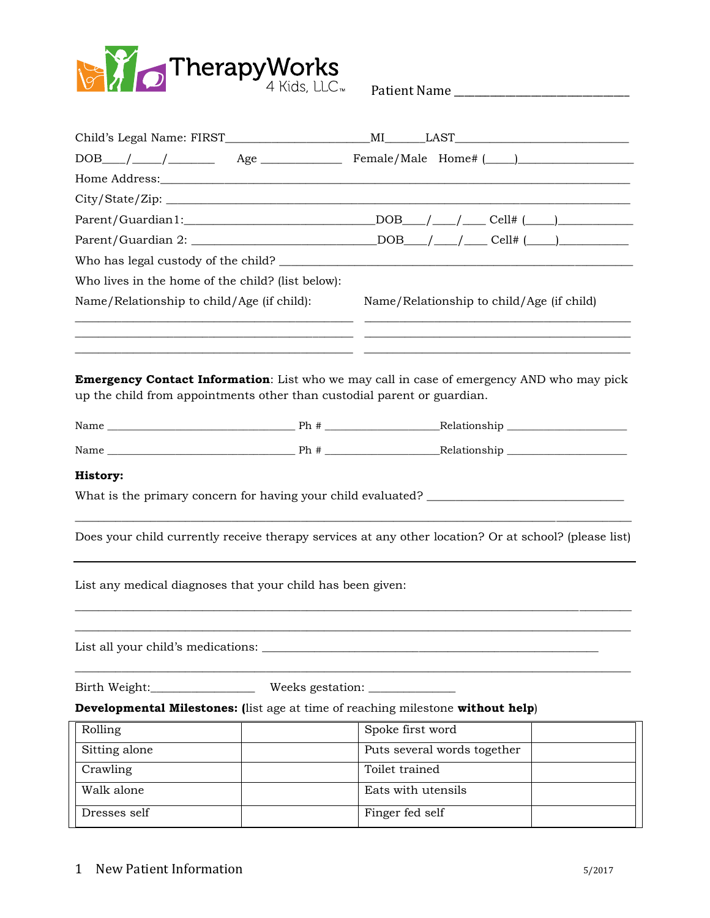

Patient Name \_\_\_\_\_\_\_\_\_\_\_\_\_\_\_\_\_\_\_\_\_\_\_\_\_\_\_\_\_\_\_\_\_\_

| Who lives in the home of the child? (list below):                                      |                                                                                                       |
|----------------------------------------------------------------------------------------|-------------------------------------------------------------------------------------------------------|
| Name/Relationship to child/Age (if child):                                             | Name/Relationship to child/Age (if child)                                                             |
| up the child from appointments other than custodial parent or guardian.                | <b>Emergency Contact Information:</b> List who we may call in case of emergency AND who may pick      |
|                                                                                        |                                                                                                       |
|                                                                                        |                                                                                                       |
| History:                                                                               |                                                                                                       |
|                                                                                        |                                                                                                       |
|                                                                                        |                                                                                                       |
|                                                                                        | Does your child currently receive therapy services at any other location? Or at school? (please list) |
|                                                                                        |                                                                                                       |
| List any medical diagnoses that your child has been given:                             |                                                                                                       |
|                                                                                        |                                                                                                       |
|                                                                                        |                                                                                                       |
| List all your child's medications:                                                     |                                                                                                       |
| Birth Weight:                                                                          |                                                                                                       |
| <b>Developmental Milestones:</b> (list age at time of reaching milestone without help) |                                                                                                       |
| Rolling                                                                                | Spoke first word                                                                                      |
| Sitting alone                                                                          | Puts several words together                                                                           |
| Crawling                                                                               | Toilet trained                                                                                        |
| Walk alone                                                                             | Eats with utensils                                                                                    |
| Dresses self                                                                           | Finger fed self                                                                                       |

1 New Patient Information 5/2017